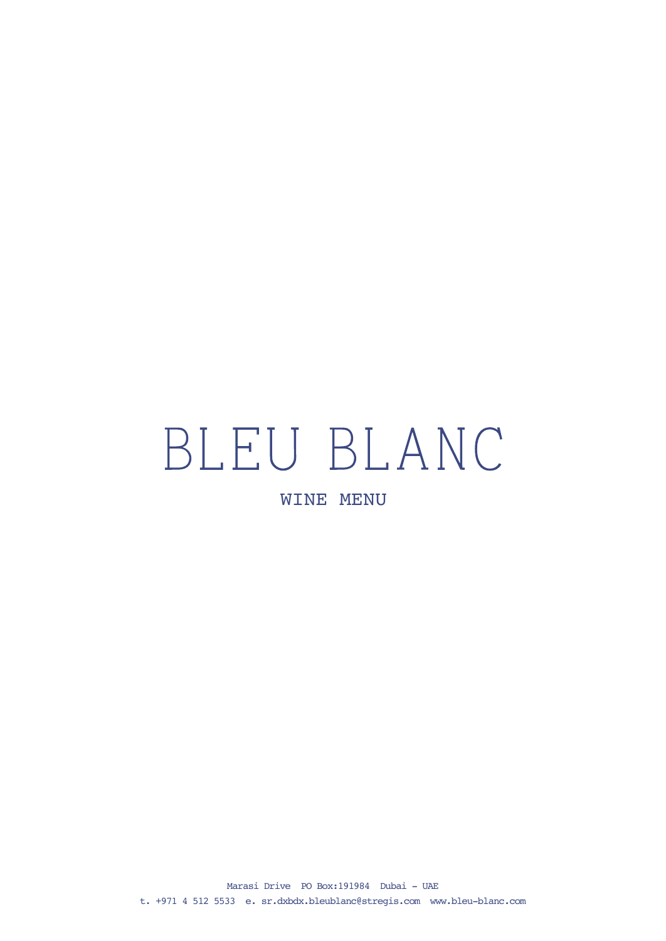# BLEU BLANC

WINE MENU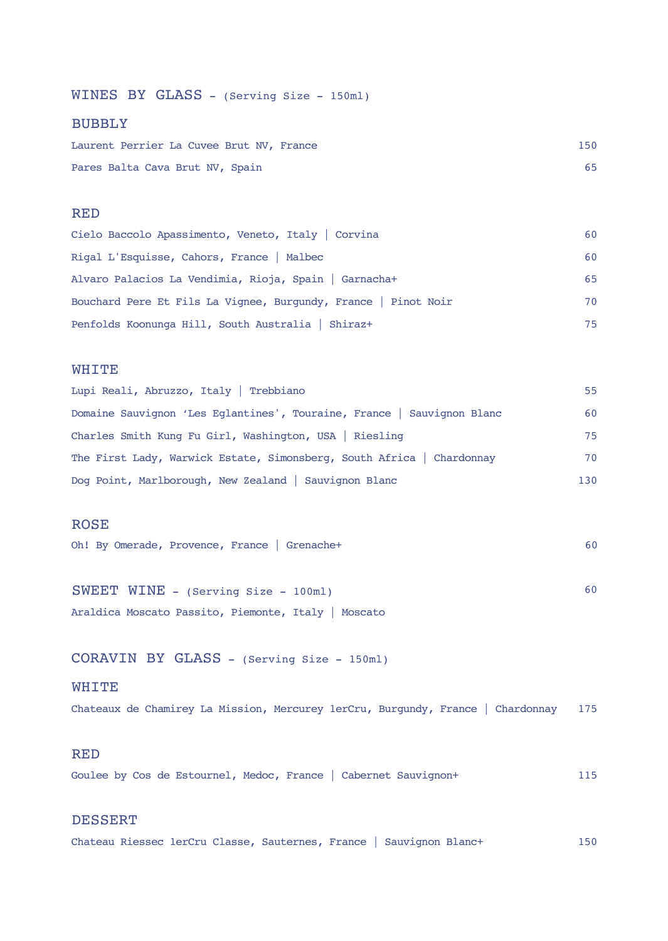WINES BY GLASS - (Serving Size - 150ml)

#### BUBBLY

| Laurent Perrier La Cuvee Brut NV, France | 150 |
|------------------------------------------|-----|
| Pares Balta Cava Brut NV, Spain          |     |

#### RED

| Cielo Baccolo Apassimento, Veneto, Italy   Corvina             | 60  |
|----------------------------------------------------------------|-----|
| Rigal L'Esquisse, Cahors, France   Malbec                      | 60  |
| Alvaro Palacios La Vendimia, Rioja, Spain   Garnacha+          | 65  |
| Bouchard Pere Et Fils La Vignee, Burgundy, France   Pinot Noir | 70  |
| Penfolds Koonunga Hill, South Australia   Shiraz+              | 75. |

#### WHITE

| Lupi Reali, Abruzzo, Italy   Trebbiano                                 | 55. |
|------------------------------------------------------------------------|-----|
| Domaine Sauvignon 'Les Eglantines', Touraine, France   Sauvignon Blanc | 60  |
| Charles Smith Kung Fu Girl, Washington, USA   Riesling                 | 75  |
| The First Lady, Warwick Estate, Simonsberg, South Africa   Chardonnay  | 70  |
| Dog Point, Marlborough, New Zealand   Sauvignon Blanc                  | 130 |

#### ROSE

| Oh! By Omerade, Provence, France   Grenachet |  |  |
|----------------------------------------------|--|--|
|----------------------------------------------|--|--|

SWEET WINE - (Serving Size - 100ml) 60 Araldica Moscato Passito, Piemonte, Italy | Moscato

CORAVIN BY GLASS - (Serving Size - 150ml)

#### WHITE

Chateaux de Chamirey La Mission, Mercurey 1erCru, Burgundy, France | Chardonnay 175

#### RED

Goulee by Cos de Estournel, Medoc, France | Cabernet Sauvignon+ 115

#### DESSERT

Chateau Riessec 1erCru Classe, Sauternes, France | Sauvignon Blanc+ 150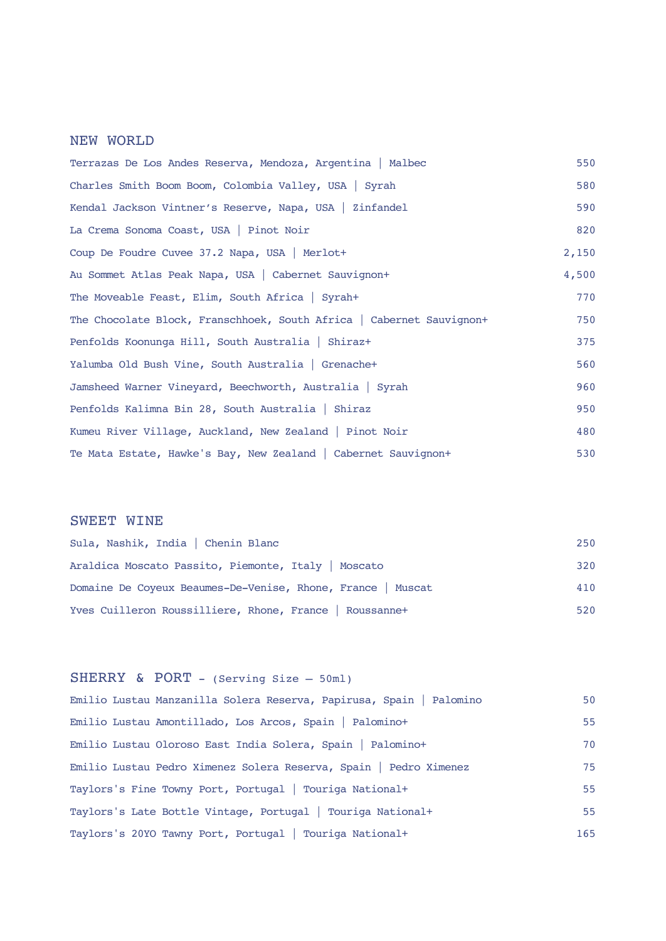## NEW WORLD

| Terrazas De Los Andes Reserva, Mendoza, Argentina   Malbec           | 550   |
|----------------------------------------------------------------------|-------|
| Charles Smith Boom Boom, Colombia Valley, USA   Syrah                | 580   |
| Kendal Jackson Vintner's Reserve, Napa, USA   Zinfandel              | 590   |
| La Crema Sonoma Coast, USA   Pinot Noir                              | 820   |
| Coup De Foudre Cuvee 37.2 Napa, USA   Merlot+                        | 2,150 |
| Au Sommet Atlas Peak Napa, USA   Cabernet Sauvignon+                 | 4,500 |
| The Moveable Feast, Elim, South Africa   Syrah+                      | 770   |
| The Chocolate Block, Franschhoek, South Africa   Cabernet Sauvignon+ | 750   |
| Penfolds Koonunga Hill, South Australia   Shiraz+                    | 375   |
| Yalumba Old Bush Vine, South Australia   Grenache+                   | 560   |
| Jamsheed Warner Vineyard, Beechworth, Australia   Syrah              | 960   |
| Penfolds Kalimna Bin 28, South Australia   Shiraz                    | 950   |
| Kumeu River Village, Auckland, New Zealand   Pinot Noir              | 480   |
| Te Mata Estate, Hawke's Bay, New Zealand   Cabernet Sauvignon+       | 530   |

## SWEET WINE

| Sula, Nashik, India   Chenin Blanc                          | 250 |
|-------------------------------------------------------------|-----|
| Araldica Moscato Passito, Piemonte, Italy   Moscato         | 320 |
| Domaine De Coyeux Beaumes-De-Venise, Rhone, France   Muscat | 410 |
| Yves Cuilleron Roussilliere, Rhone, France   Roussanne+     | 520 |

## SHERRY & PORT - (Serving Size – 50ml)

| Emilio Lustau Manzanilla Solera Reserva, Papirusa, Spain   Palomino | 50  |
|---------------------------------------------------------------------|-----|
| Emilio Lustau Amontillado, Los Arcos, Spain   Palomino+             | 55  |
| Emilio Lustau Oloroso East India Solera, Spain   Palomino+          | 70  |
| Emilio Lustau Pedro Ximenez Solera Reserva, Spain   Pedro Ximenez   | 75  |
| Taylors's Fine Towny Port, Portugal   Touriga National+             | 55  |
| Taylors's Late Bottle Vintage, Portugal   Touriga National+         | 55  |
| Taylors's 20YO Tawny Port, Portugal   Touriga National+             | 165 |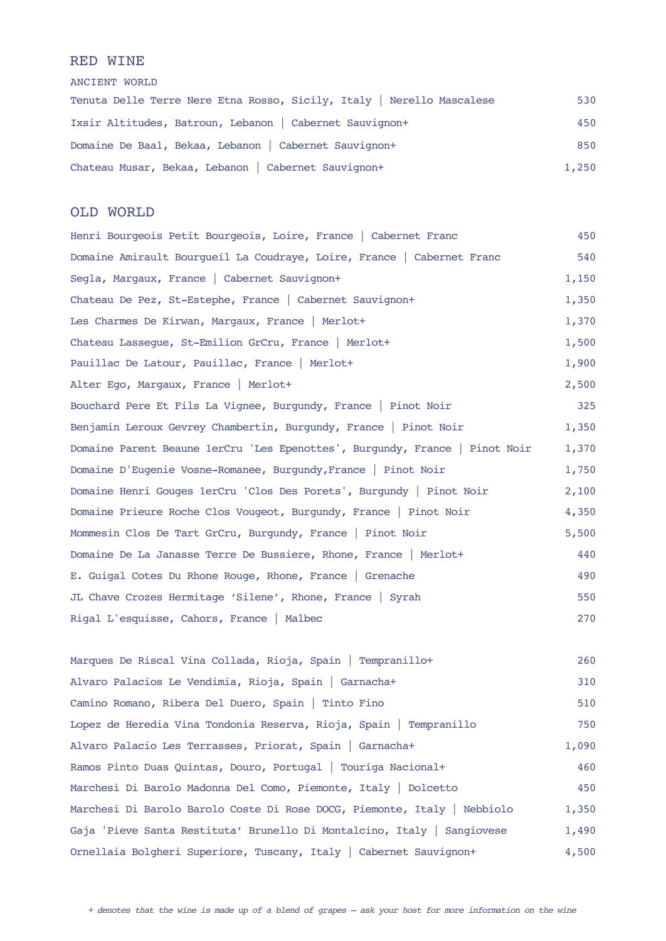#### RED WINE

ANCIENT WORLD

| Tenuta Delle Terre Nere Etna Rosso, Sicily, Italy   Nerello Mascalese | 530   |
|-----------------------------------------------------------------------|-------|
| Ixsir Altitudes, Batroun, Lebanon   Cabernet Sauvignon+               | 450   |
| Domaine De Baal, Bekaa, Lebanon   Cabernet Sauvignon+                 | 850   |
| Chateau Musar, Bekaa, Lebanon   Cabernet Sauvignon+                   | 1,250 |

#### OLD WORLD

Henri Bourgeois Petit Bourgeois, Loire, France | Cabernet Franc 450 Domaine Amirault Bourgueil La Coudraye, Loire, France | Cabernet Franc 540 Segla, Margaux, France | Cabernet Sauvignon+ 1,150 Chateau De Pez, St-Estephe, France | Cabernet Sauvignon+ 1,350 Les Charmes De Kirwan, Margaux, France | Merlot+ 1,370 Chateau Lassegue, St-Emilion GrCru, France | Merlot+ 1,500 Pauillac De Latour, Pauillac, France | Merlot+ 1,900 Alter Ego, Margaux, France | Merlot+ 2,500 Bouchard Pere Et Fils La Vignee, Burgundy, France | Pinot Noir 325 Benjamin Leroux Gevrey Chambertin, Burgundy, France | Pinot Noir 1,350 Domaine Parent Beaune 1erCru 'Les Epenottes', Burgundy, France | Pinot Noir 1,370 Domaine D'Eugenie Vosne-Romanee, Burgundy, France | Pinot Noir 1,750 Domaine Henri Gouges 1erCru 'Clos Des Porets', Burgundy | Pinot Noir 2,100 Domaine Prieure Roche Clos Vougeot, Burgundy, France | Pinot Noir 4,350 Mommesin Clos De Tart GrCru, Burgundy, France | Pinot Noir 5,500 Domaine De La Janasse Terre De Bussiere, Rhone, France | Merlot+ 440 E. Guigal Cotes Du Rhone Rouge, Rhone, France | Grenache 490 JL Chave Crozes Hermitage 'Silene', Rhone, France | Syrah 550 Rigal L'esquisse, Cahors, France | Malbec 270

Marques De Riscal Vina Collada, Rioja, Spain | Tempranillo+ 260 Alvaro Palacios Le Vendimia, Rioja, Spain | Garnacha+ 310 Camino Romano, Ribera Del Duero, Spain | Tinto Fino 510 Lopez de Heredia Vina Tondonia Reserva, Rioja, Spain | Tempranillo 750 Alvaro Palacio Les Terrasses, Priorat, Spain | Garnacha+ 1,090 Ramos Pinto Duas Quintas, Douro, Portugal | Touriga Nacional+ 460 Marchesi Di Barolo Madonna Del Como, Piemonte, Italy | Dolcetto 450 Marchesi Di Barolo Barolo Coste Di Rose DOCG, Piemonte, Italy | Nebbiolo 1,350 Gaja 'Pieve Santa Restituta' Brunello Di Montalcino, Italy | Sangiovese 1,490 Ornellaia Bolgheri Superiore, Tuscany, Italy | Cabernet Sauvignon+ 4,500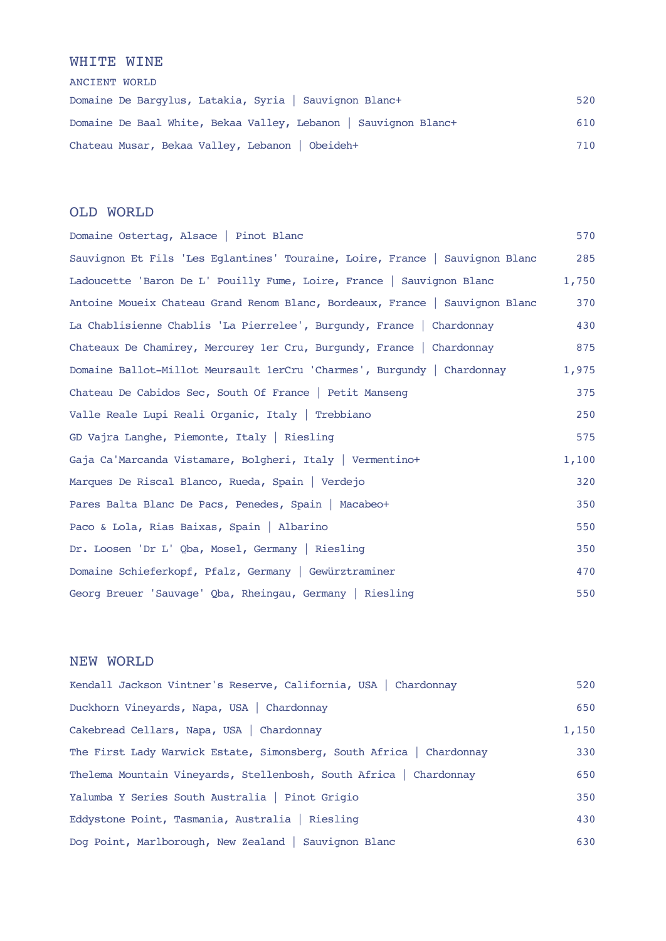#### WHITE WINE

ANCIENT WORLD Domaine De Bargylus, Latakia, Syria | Sauvignon Blanc+ 520 Domaine De Baal White, Bekaa Valley, Lebanon | Sauvignon Blanc+ 610 Chateau Musar, Bekaa Valley, Lebanon | Obeideh+ 710

#### OLD WORLD

| Domaine Ostertag, Alsace   Pinot Blanc                                       | 570   |
|------------------------------------------------------------------------------|-------|
| Sauvignon Et Fils 'Les Eglantines' Touraine, Loire, France   Sauvignon Blanc | 285   |
| Ladoucette 'Baron De L' Pouilly Fume, Loire, France   Sauvignon Blanc        | 1,750 |
| Antoine Moueix Chateau Grand Renom Blanc, Bordeaux, France   Sauvignon Blanc | 370   |
| La Chablisienne Chablis 'La Pierrelee', Burgundy, France   Chardonnay        | 430   |
| Chateaux De Chamirey, Mercurey 1er Cru, Burgundy, France   Chardonnay        | 875   |
| Domaine Ballot-Millot Meursault 1erCru 'Charmes', Burgundy   Chardonnay      | 1,975 |
| Chateau De Cabidos Sec, South Of France   Petit Manseng                      | 375   |
| Valle Reale Lupi Reali Organic, Italy   Trebbiano                            | 250   |
| GD Vajra Langhe, Piemonte, Italy   Riesling                                  | 575   |
| Gaja Ca'Marcanda Vistamare, Bolgheri, Italy   Vermentino+                    | 1,100 |
| Marques De Riscal Blanco, Rueda, Spain   Verdejo                             | 320   |
| Pares Balta Blanc De Pacs, Penedes, Spain   Macabeot                         | 350   |
| Paco & Lola, Rias Baixas, Spain   Albarino                                   | 550   |
| Dr. Loosen 'Dr L' Qba, Mosel, Germany   Riesling                             | 350   |
| Domaine Schieferkopf, Pfalz, Germany   Gewürztraminer                        | 470   |
| Georg Breuer 'Sauvage' Qba, Rheingau, Germany   Riesling                     | 550   |

## NEW WORLD

| Kendall Jackson Vintner's Reserve, California, USA   Chardonnay      | 520   |
|----------------------------------------------------------------------|-------|
| Duckhorn Vineyards, Napa, USA   Chardonnay                           | 650   |
| Cakebread Cellars, Napa, USA   Chardonnay                            | 1,150 |
| The First Lady Warwick Estate, Simonsberg, South Africa   Chardonnay | 330   |
| Thelema Mountain Vineyards, Stellenbosh, South Africa   Chardonnay   | 650   |
| Yalumba Y Series South Australia   Pinot Grigio                      | 350   |
| Eddystone Point, Tasmania, Australia   Riesling                      | 430   |
| Dog Point, Marlborough, New Zealand   Sauvignon Blanc                | 630   |